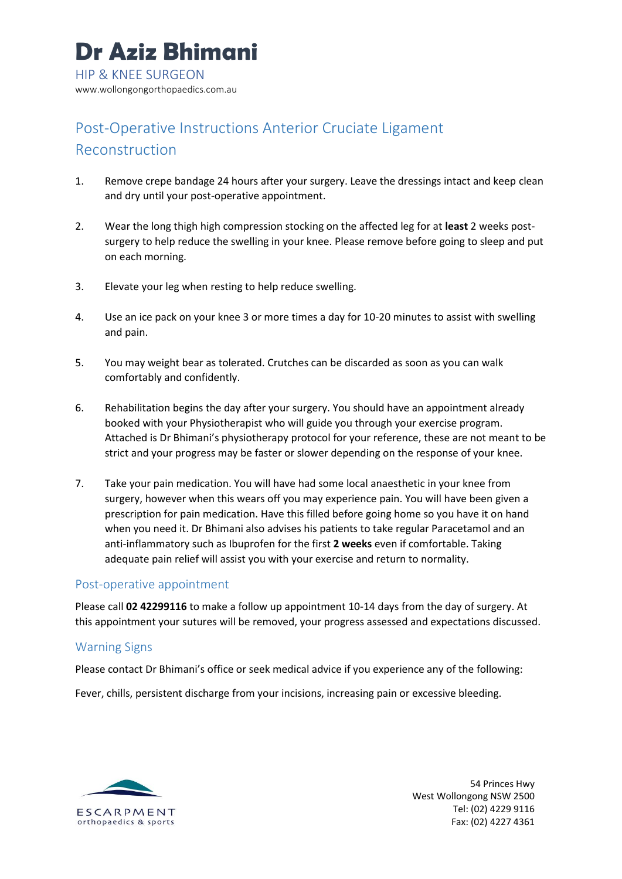# Post-Operative Instructions Anterior Cruciate Ligament Reconstruction

- 1. Remove crepe bandage 24 hours after your surgery. Leave the dressings intact and keep clean and dry until your post-operative appointment.
- 2. Wear the long thigh high compression stocking on the affected leg for at **least** 2 weeks postsurgery to help reduce the swelling in your knee. Please remove before going to sleep and put on each morning.
- 3. Elevate your leg when resting to help reduce swelling.
- 4. Use an ice pack on your knee 3 or more times a day for 10-20 minutes to assist with swelling and pain.
- 5. You may weight bear as tolerated. Crutches can be discarded as soon as you can walk comfortably and confidently.
- 6. Rehabilitation begins the day after your surgery. You should have an appointment already booked with your Physiotherapist who will guide you through your exercise program. Attached is Dr Bhimani's physiotherapy protocol for your reference, these are not meant to be strict and your progress may be faster or slower depending on the response of your knee.
- 7. Take your pain medication. You will have had some local anaesthetic in your knee from surgery, however when this wears off you may experience pain. You will have been given a prescription for pain medication. Have this filled before going home so you have it on hand when you need it. Dr Bhimani also advises his patients to take regular Paracetamol and an anti-inflammatory such as Ibuprofen for the first **2 weeks** even if comfortable. Taking adequate pain relief will assist you with your exercise and return to normality.

### Post-operative appointment

Please call **02 42299116** to make a follow up appointment 10-14 days from the day of surgery. At this appointment your sutures will be removed, your progress assessed and expectations discussed.

# Warning Signs

Please contact Dr Bhimani's office or seek medical advice if you experience any of the following:

Fever, chills, persistent discharge from your incisions, increasing pain or excessive bleeding.



54 Princes Hwy West Wollongong NSW 2500 Tel: (02) 4229 9116 Fax: (02) 4227 4361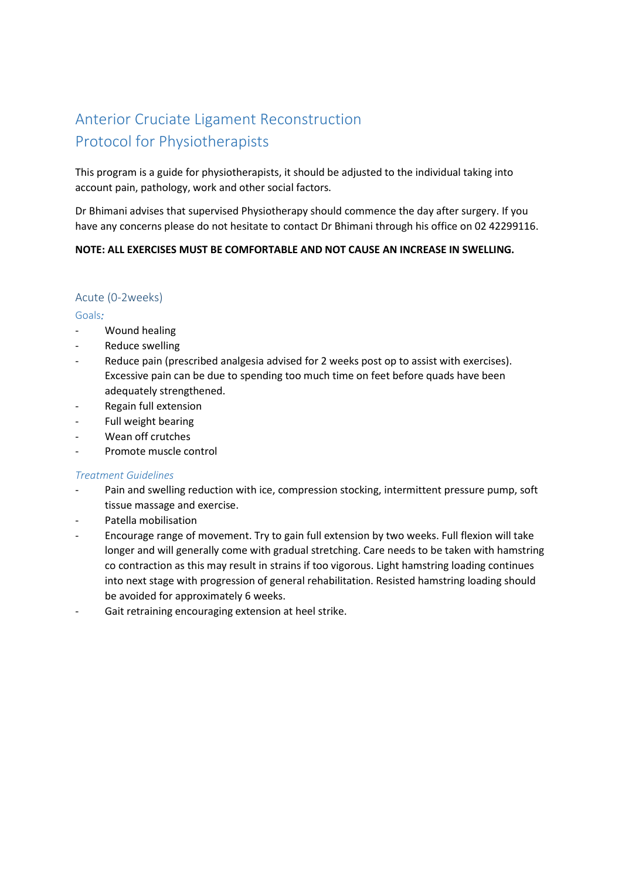# Anterior Cruciate Ligament Reconstruction Protocol for Physiotherapists

This program is a guide for physiotherapists, it should be adjusted to the individual taking into account pain, pathology, work and other social factors.

Dr Bhimani advises that supervised Physiotherapy should commence the day after surgery. If you have any concerns please do not hesitate to contact Dr Bhimani through his office on 02 42299116.

### **NOTE: ALL EXERCISES MUST BE COMFORTABLE AND NOT CAUSE AN INCREASE IN SWELLING.**

## Acute (0-2weeks)

#### Goals*:*

- Wound healing
- Reduce swelling
- Reduce pain (prescribed analgesia advised for 2 weeks post op to assist with exercises). Excessive pain can be due to spending too much time on feet before quads have been adequately strengthened.
- Regain full extension
- Full weight bearing
- Wean off crutches
- Promote muscle control

### *Treatment Guidelines*

- Pain and swelling reduction with ice, compression stocking, intermittent pressure pump, soft tissue massage and exercise.
- Patella mobilisation
- Encourage range of movement. Try to gain full extension by two weeks. Full flexion will take longer and will generally come with gradual stretching. Care needs to be taken with hamstring co contraction as this may result in strains if too vigorous. Light hamstring loading continues into next stage with progression of general rehabilitation. Resisted hamstring loading should be avoided for approximately 6 weeks.
- Gait retraining encouraging extension at heel strike.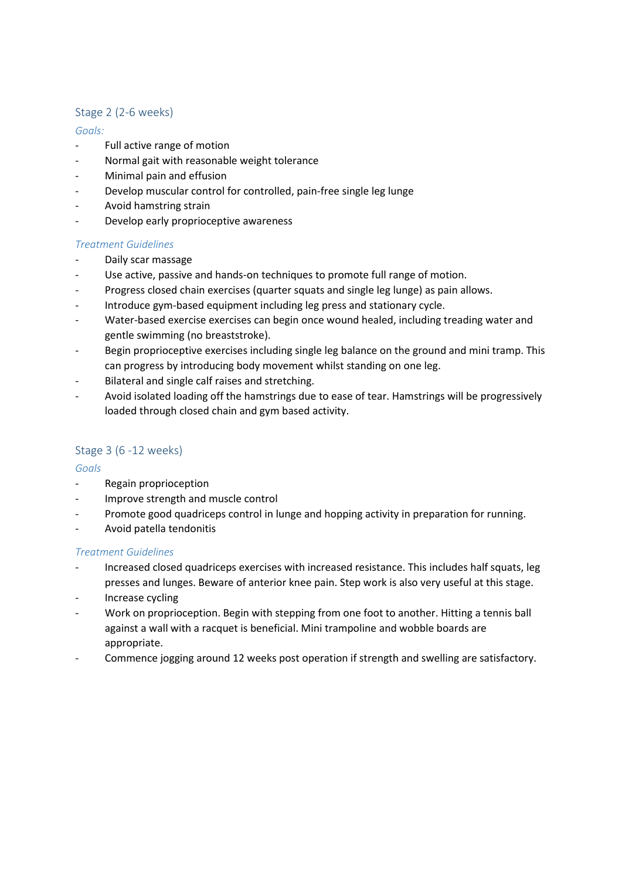# Stage 2 (2-6 weeks)

## *Goals:*

- Full active range of motion
- Normal gait with reasonable weight tolerance
- Minimal pain and effusion
- Develop muscular control for controlled, pain-free single leg lunge
- Avoid hamstring strain
- Develop early proprioceptive awareness

### *Treatment Guidelines*

- Daily scar massage
- Use active, passive and hands-on techniques to promote full range of motion.
- Progress closed chain exercises (quarter squats and single leg lunge) as pain allows.
- Introduce gym-based equipment including leg press and stationary cycle.
- Water-based exercise exercises can begin once wound healed, including treading water and gentle swimming (no breaststroke).
- Begin proprioceptive exercises including single leg balance on the ground and mini tramp. This can progress by introducing body movement whilst standing on one leg.
- Bilateral and single calf raises and stretching.
- Avoid isolated loading off the hamstrings due to ease of tear. Hamstrings will be progressively loaded through closed chain and gym based activity.

# Stage 3 (6 -12 weeks)

### *Goals*

- Regain proprioception
- Improve strength and muscle control
- Promote good quadriceps control in lunge and hopping activity in preparation for running.
- Avoid patella tendonitis

### *Treatment Guidelines*

- Increased closed quadriceps exercises with increased resistance. This includes half squats, leg presses and lunges. Beware of anterior knee pain. Step work is also very useful at this stage.
- Increase cycling
- Work on proprioception. Begin with stepping from one foot to another. Hitting a tennis ball against a wall with a racquet is beneficial. Mini trampoline and wobble boards are appropriate.
- Commence jogging around 12 weeks post operation if strength and swelling are satisfactory.